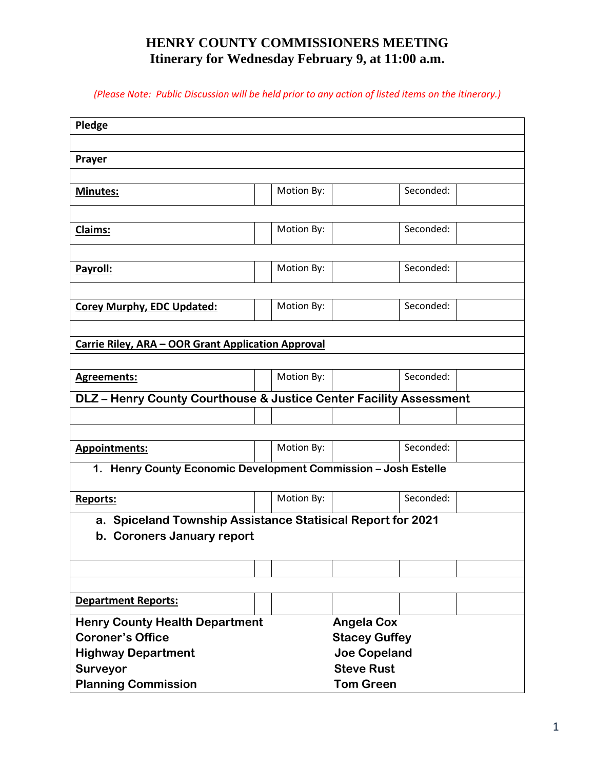## **HENRY COUNTY COMMISSIONERS MEETING Itinerary for Wednesday February 9, at 11:00 a.m.**

*(Please Note: Public Discussion will be held prior to any action of listed items on the itinerary.)*

| Pledge                                                             |                  |                      |           |  |  |  |  |  |
|--------------------------------------------------------------------|------------------|----------------------|-----------|--|--|--|--|--|
|                                                                    |                  |                      |           |  |  |  |  |  |
| Prayer                                                             |                  |                      |           |  |  |  |  |  |
|                                                                    |                  |                      |           |  |  |  |  |  |
| <b>Minutes:</b>                                                    | Motion By:       |                      | Seconded: |  |  |  |  |  |
|                                                                    |                  |                      |           |  |  |  |  |  |
| Claims:                                                            | Motion By:       |                      | Seconded: |  |  |  |  |  |
|                                                                    |                  |                      |           |  |  |  |  |  |
| Payroll:                                                           | Motion By:       |                      | Seconded: |  |  |  |  |  |
|                                                                    |                  |                      |           |  |  |  |  |  |
| <b>Corey Murphy, EDC Updated:</b>                                  | Motion By:       |                      | Seconded: |  |  |  |  |  |
|                                                                    |                  |                      |           |  |  |  |  |  |
| <b>Carrie Riley, ARA - OOR Grant Application Approval</b>          |                  |                      |           |  |  |  |  |  |
|                                                                    |                  |                      |           |  |  |  |  |  |
| <b>Agreements:</b>                                                 | Motion By:       |                      | Seconded: |  |  |  |  |  |
| DLZ - Henry County Courthouse & Justice Center Facility Assessment |                  |                      |           |  |  |  |  |  |
|                                                                    |                  |                      |           |  |  |  |  |  |
|                                                                    |                  |                      |           |  |  |  |  |  |
| <b>Appointments:</b>                                               | Motion By:       |                      | Seconded: |  |  |  |  |  |
|                                                                    |                  |                      |           |  |  |  |  |  |
| 1. Henry County Economic Development Commission - Josh Estelle     |                  |                      |           |  |  |  |  |  |
| <b>Reports:</b>                                                    | Motion By:       |                      | Seconded: |  |  |  |  |  |
| a. Spiceland Township Assistance Statisical Report for 2021        |                  |                      |           |  |  |  |  |  |
| b. Coroners January report                                         |                  |                      |           |  |  |  |  |  |
|                                                                    |                  |                      |           |  |  |  |  |  |
|                                                                    |                  |                      |           |  |  |  |  |  |
|                                                                    |                  |                      |           |  |  |  |  |  |
| <b>Department Reports:</b>                                         |                  |                      |           |  |  |  |  |  |
| <b>Henry County Health Department</b><br><b>Angela Cox</b>         |                  |                      |           |  |  |  |  |  |
| <b>Coroner's Office</b>                                            |                  | <b>Stacey Guffey</b> |           |  |  |  |  |  |
| <b>Highway Department</b>                                          |                  | <b>Joe Copeland</b>  |           |  |  |  |  |  |
| <b>Surveyor</b>                                                    |                  | <b>Steve Rust</b>    |           |  |  |  |  |  |
| <b>Planning Commission</b>                                         | <b>Tom Green</b> |                      |           |  |  |  |  |  |